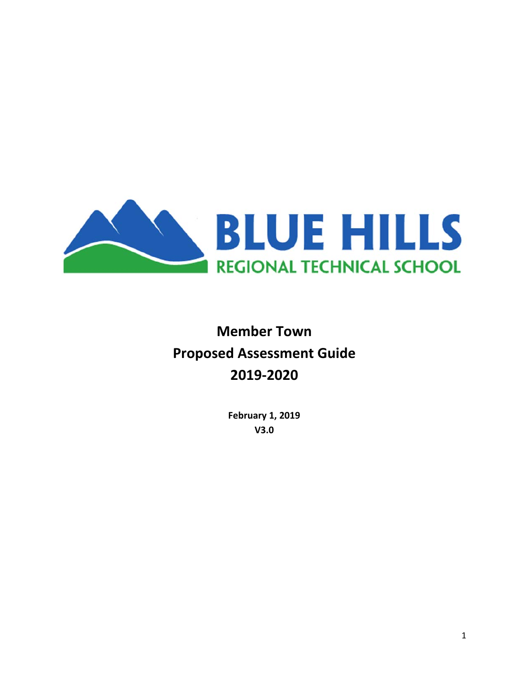

# **Member Town Proposed Assessment Guide 2019‐2020**

**February 1, 2019 V3.0**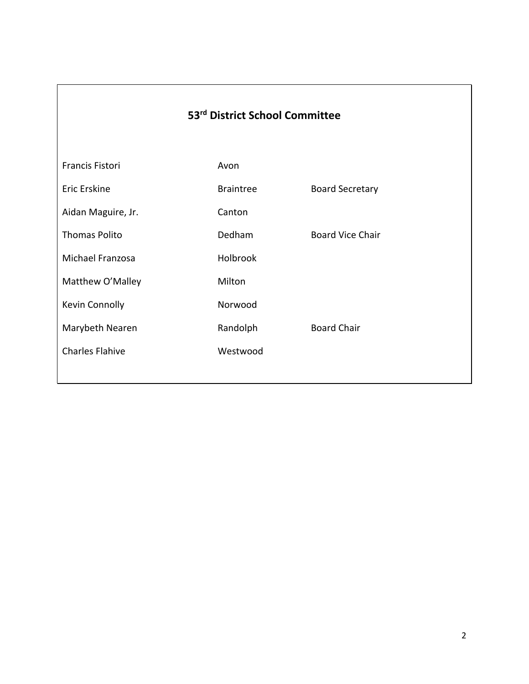## **53rd District School Committee**

| Francis Fistori        | Avon             |                         |
|------------------------|------------------|-------------------------|
| Eric Erskine           | <b>Braintree</b> | <b>Board Secretary</b>  |
| Aidan Maguire, Jr.     | Canton           |                         |
| <b>Thomas Polito</b>   | Dedham           | <b>Board Vice Chair</b> |
| Michael Franzosa       | Holbrook         |                         |
| Matthew O'Malley       | Milton           |                         |
| Kevin Connolly         | Norwood          |                         |
| Marybeth Nearen        | Randolph         | <b>Board Chair</b>      |
| <b>Charles Flahive</b> | Westwood         |                         |
|                        |                  |                         |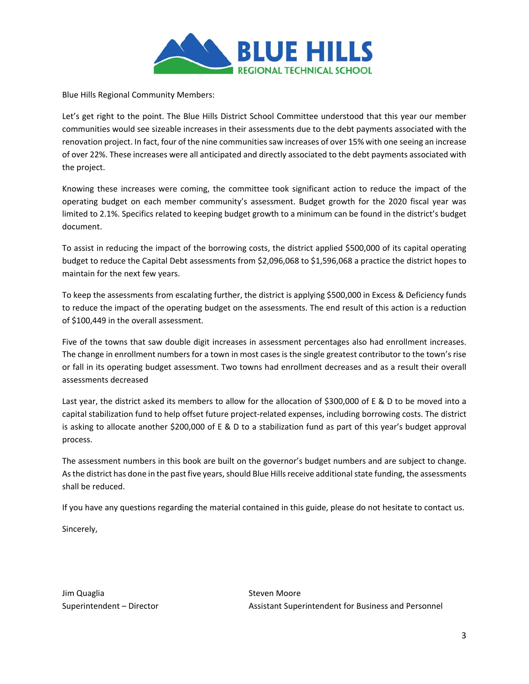

Blue Hills Regional Community Members:

Let's get right to the point. The Blue Hills District School Committee understood that this year our member communities would see sizeable increases in their assessments due to the debt payments associated with the renovation project. In fact, four of the nine communities saw increases of over 15% with one seeing an increase of over 22%. These increases were all anticipated and directly associated to the debt payments associated with the project.

Knowing these increases were coming, the committee took significant action to reduce the impact of the operating budget on each member community's assessment. Budget growth for the 2020 fiscal year was limited to 2.1%. Specifics related to keeping budget growth to a minimum can be found in the district's budget document.

To assist in reducing the impact of the borrowing costs, the district applied \$500,000 of its capital operating budget to reduce the Capital Debt assessments from \$2,096,068 to \$1,596,068 a practice the district hopes to maintain for the next few years.

To keep the assessments from escalating further, the district is applying \$500,000 in Excess & Deficiency funds to reduce the impact of the operating budget on the assessments. The end result of this action is a reduction of \$100,449 in the overall assessment.

Five of the towns that saw double digit increases in assessment percentages also had enrollment increases. The change in enrollment numbers for a town in most cases is the single greatest contributor to the town's rise or fall in its operating budget assessment. Two towns had enrollment decreases and as a result their overall assessments decreased

Last year, the district asked its members to allow for the allocation of \$300,000 of E & D to be moved into a capital stabilization fund to help offset future project‐related expenses, including borrowing costs. The district is asking to allocate another \$200,000 of E & D to a stabilization fund as part of this year's budget approval process.

The assessment numbers in this book are built on the governor's budget numbers and are subject to change. As the district has done in the past five years, should Blue Hills receive additional state funding, the assessments shall be reduced.

If you have any questions regarding the material contained in this guide, please do not hesitate to contact us.

Sincerely,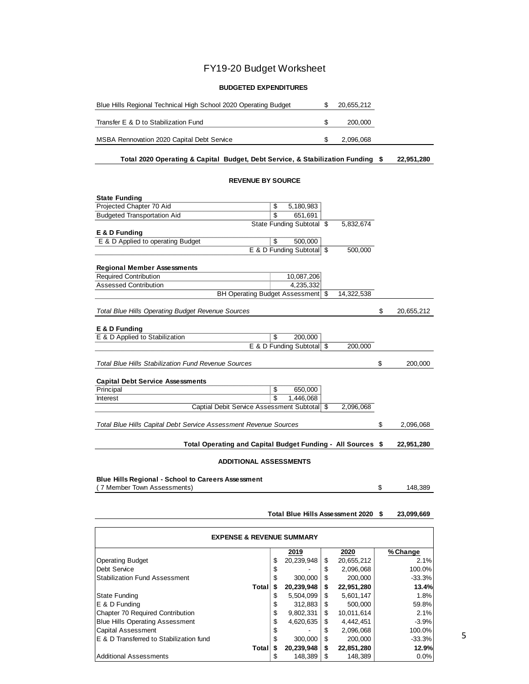## FY19-20 Budget Worksheet

#### **BUDGETED EXPENDITURES**

| Blue Hills Regional Technical High School 2020 Operating Budget | 20,655,212 |  |
|-----------------------------------------------------------------|------------|--|
| Transfer E & D to Stabilization Fund                            | 200,000    |  |
| MSBA Rennovation 2020 Capital Debt Service                      | 2,096,068  |  |

#### **\$ 22,951,280 Total 2020 Operating & Capital Budget, Debt Service, & Stabilization Funding**

#### **REVENUE BY SOURCE**

| <b>State Funding</b>                                             |                           |            |                  |
|------------------------------------------------------------------|---------------------------|------------|------------------|
| Projected Chapter 70 Aid                                         | \$<br>5,180,983           |            |                  |
| <b>Budgeted Transportation Aid</b>                               | \$<br>651,691             |            |                  |
|                                                                  | State Funding Subtotal \$ | 5,832,674  |                  |
| E & D Funding                                                    |                           |            |                  |
| E & D Applied to operating Budget                                | \$<br>500,000             |            |                  |
|                                                                  | E & D Funding Subtotal \$ | 500,000    |                  |
| <b>Regional Member Assessments</b>                               |                           |            |                  |
| <b>Required Contribution</b>                                     | 10,087,206                |            |                  |
| <b>Assessed Contribution</b>                                     | 4,235,332                 |            |                  |
| BH Operating Budget Assessment   \$                              |                           | 14,322,538 |                  |
|                                                                  |                           |            |                  |
| <b>Total Blue Hills Operating Budget Revenue Sources</b>         |                           |            | \$<br>20,655,212 |
|                                                                  |                           |            |                  |
| E & D Funding                                                    |                           |            |                  |
| E & D Applied to Stabilization                                   | \$<br>200,000             |            |                  |
|                                                                  | E & D Funding Subtotal \$ | 200,000    |                  |
| <b>Total Blue Hills Stabilization Fund Revenue Sources</b>       |                           |            | \$<br>200,000    |
|                                                                  |                           |            |                  |
| <b>Capital Debt Service Assessments</b>                          |                           |            |                  |
| Principal                                                        | \$<br>650,000             |            |                  |
| Interest                                                         | \$<br>1,446,068           |            |                  |
| Captial Debit Service Assessment Subtotal \$                     |                           | 2,096,068  |                  |
|                                                                  |                           |            |                  |
| Total Blue Hills Capital Debt Service Assessment Revenue Sources |                           |            | \$<br>2,096,068  |
|                                                                  |                           |            |                  |
| Total Operating and Capital Budget Funding - All Sources \$      |                           |            | 22,951,280       |
|                                                                  |                           |            |                  |
| <b>ADDITIONAL ASSESSMENTS</b>                                    |                           |            |                  |
|                                                                  |                           |            |                  |

#### **Blue Hills Regional - School to Careers Assessment**

\$ 148,389

#### ( 7 Member Town Assessments)

#### **Total Blue Hills Assessment 2020 23,099,669 \$**

| <b>EXPENSE &amp; REVENUE SUMMARY</b>    |    |            |    |            |          |  |  |  |  |
|-----------------------------------------|----|------------|----|------------|----------|--|--|--|--|
|                                         |    | 2019       |    | 2020       | % Change |  |  |  |  |
| <b>Operating Budget</b>                 | \$ | 20,239,948 | \$ | 20,655,212 | 2.1%     |  |  |  |  |
| Debt Service                            | \$ |            | S  | 2,096,068  | 100.0%   |  |  |  |  |
| <b>Stabilization Fund Assessment</b>    | \$ | 300,000    | S  | 200,000    | $-33.3%$ |  |  |  |  |
| Total                                   | S  | 20,239,948 | \$ | 22,951,280 | 13.4%    |  |  |  |  |
| <b>State Funding</b>                    | S  | 5,504,099  | S  | 5,601,147  | 1.8%     |  |  |  |  |
| E & D Funding                           | S  | 312.883    | \$ | 500,000    | 59.8%    |  |  |  |  |
| Chapter 70 Required Contribution        | \$ | 9,802,331  | \$ | 10,011,614 | 2.1%     |  |  |  |  |
| <b>Blue Hills Operating Assessment</b>  | \$ | 4,620,635  | S  | 4,442,451  | $-3.9%$  |  |  |  |  |
| <b>Capital Assessment</b>               | \$ |            | \$ | 2,096,068  | 100.0%   |  |  |  |  |
| E & D Transferred to Stabilization fund | \$ | 300,000    | S  | 200,000    | $-33.3%$ |  |  |  |  |
| Total                                   | S  | 20,239,948 | \$ | 22,851,280 | 12.9%    |  |  |  |  |
| <b>Additional Assessments</b>           | S  | 148.389    | S  | 148.389    | 0.0%     |  |  |  |  |

5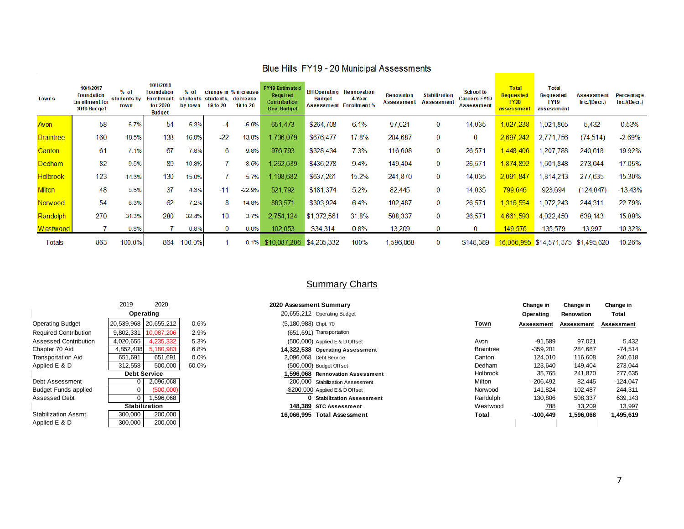| <b>Towns</b>     | 10/1/2017<br><b>Foundation</b><br><b>Enrollment for</b><br>2019 Budget | $%$ of<br>students by<br>town | 10/1/2018<br><b>Foundation</b><br><b>Enrollment</b><br>for 2020<br><b>Budget</b> | % of<br>students<br>by town | students, decrease<br>19 to 20 | change in % increase<br>19 to 20 | <b>FY19 Estimated</b><br>Required<br>Contribution<br>Gov. Budget | <b>BH Operating</b><br>Budget<br><b>Assessment</b> | Rennovation<br>4 Year<br><b>Enrollment %</b> | <b>Renovation</b><br>Assessment | <b>Stabilization</b><br>Assessment | <b>School to</b><br><b>Careers FY19</b><br><b>Assessment</b> | <b>Total</b><br><b>Requested</b><br><b>FY20</b><br>assessment | <b>Total</b><br><b>Requested</b><br><b>FY19</b><br>assessment | Assessmen<br>$Inc.$ /(Decr.) | Percentage<br>Inc/(Decr.) |
|------------------|------------------------------------------------------------------------|-------------------------------|----------------------------------------------------------------------------------|-----------------------------|--------------------------------|----------------------------------|------------------------------------------------------------------|----------------------------------------------------|----------------------------------------------|---------------------------------|------------------------------------|--------------------------------------------------------------|---------------------------------------------------------------|---------------------------------------------------------------|------------------------------|---------------------------|
| Avon             | 58                                                                     | 6.7%                          | 54                                                                               | 6.3%                        | -4                             | $-6.9%$                          | 651,473                                                          | \$264,708                                          | 6.1%                                         | 97,021                          | 0                                  | 14,035                                                       | 1,027,238                                                     | 1,021,805                                                     | 5,432                        | 0.53%                     |
| <b>Braintree</b> | 160                                                                    | 18.5%                         | 138                                                                              | 16.0%                       | $-22$                          | $-13.8%$                         | 1,736,079                                                        | \$676,477                                          | 17.8%                                        | 284,687                         | $\bf{0}$                           | 0                                                            | 2,697,242                                                     | 2,771,756                                                     | (74, 514)                    | $-2.69%$                  |
| Canton           | 61                                                                     | 7.1%                          | 67                                                                               | 7.8%                        | 6                              | 9.8%                             | 976,793                                                          | \$328,434                                          | 7.3%                                         | 116,608                         | 0                                  | 26,571                                                       | <u>1,448,406</u>                                              | ,207,788                                                      | 240,618                      | 19.92%                    |
| <b>Dedham</b>    | 82                                                                     | 9.5%                          | 89                                                                               | 10.3%                       |                                | 8.5%                             | 1,262,639                                                        | \$436,278                                          | 9.4%                                         | 149,404                         | 0                                  | 26,571                                                       | 1,874,892                                                     | 1.601.848                                                     | 273,044                      | 17.05%                    |
| <b>Holbrook</b>  | 123                                                                    | 14.3%                         | 130                                                                              | 15.0%                       |                                | 5.7%                             | 1,198,682                                                        | \$637,261                                          | 15.2%                                        | 241,870                         | 0                                  | 14,035                                                       | 2,091,847                                                     | 1,814,213                                                     | 277,635                      | 15.30%                    |
| <b>Milton</b>    | 48                                                                     | 5.6%                          | 37                                                                               | 4.3%                        | $-11$                          | $-22.9%$                         | 521,792                                                          | \$181,374                                          | 5.2%                                         | 82,445                          | 0                                  | 14,035                                                       | 799,646                                                       | 923,694                                                       | (124, 047)                   | $-13.43%$                 |
| Norwood          | 54                                                                     | 6.3%                          | 62                                                                               | 7.2%                        | 8                              | 14.8%                            | 883,571                                                          | \$303,924                                          | 6.4%                                         | 102,487                         | 0                                  | 26,571                                                       | 1,316,554                                                     | 1,072,243                                                     | 244,311                      | 22.79%                    |
| Randolph         | 270                                                                    | 31.3%                         | 280                                                                              | 32.4%                       | 10 <sup>°</sup>                | 3.7%                             | 2,754,124                                                        | \$1,372,561                                        | 31.8%                                        | 508,337                         | 0                                  | 26,571                                                       | 4,661,593                                                     | 4,022,450                                                     | 639, 143                     | 15.89%                    |
| Westwood         |                                                                        | 0.8%                          |                                                                                  | 0.8%                        | $\Omega$                       | 0.0%                             | 102,053                                                          | \$34,314                                           | 0.8%                                         | 13,209                          |                                    | 0                                                            | 149,576                                                       | 135,579                                                       | 13,997                       | 10.32%                    |
| Totals           | 863                                                                    | 100.0%                        | 864                                                                              | 100.0%                      |                                | 0.1%                             | \$10,087,206 \$4,235,332                                         |                                                    | 100%                                         | 1,596,068                       | 0                                  | \$148,389                                                    |                                                               | 16,066,995 \$14,571,375                                       | \$1,495,620                  | 10.26%                    |

### Blue Hills FY19 - 20 Municipal Assessments

## **Summary Charts**

|                              | 2019<br>2020           |         | 2020 Assessment Summary            |                  | Change in  | Change in  | Change in  |
|------------------------------|------------------------|---------|------------------------------------|------------------|------------|------------|------------|
|                              | Operating              |         | 20,655,212 Operating Budget        |                  | Operating  | Renovation | Total      |
| <b>Operating Budget</b>      | 20,539,968 20,655,212  | 0.6%    | (5,180,983) Chpt. 70               | Town             | Assessment | Assessment | Assessment |
| <b>Required Contribution</b> | 9,802,331 10,087,206   | 2.9%    | (651,691) Transportation           |                  |            |            |            |
| Assessed Contribution        | 4,020,655<br>4,235,332 | 5.3%    | (500,000) Applied E & D Offset     | Avon             | -91,589    | 97.021     | 5,432      |
| Chapter 70 Aid               | 4,852,408<br>5,180,983 | 6.8%    | 14,322,538 Operating Assessment    | <b>Braintree</b> | $-359,201$ | 284,687    | $-74,514$  |
| <b>Transportation Aid</b>    | 651,691<br>651,691     | $0.0\%$ | 2,096,068 Debt Service             | Canton           | 124,010    | 116,608    | 240,618    |
| Applied E & D                | 312,558<br>500,000     | 60.0%   | (500,000) Budget Offset            | Dedham           | 123,640    | 149.404    | 273,044    |
|                              | <b>Debt Service</b>    |         | 1.596.068 Rennovation Assessment   | <b>Holbrook</b>  | 35,765     | 241,870    | 277,635    |
| Debt Assessment              | 2,096,068              |         | 200,000 Stabilization Assessment   | Milton           | $-206,492$ | 82,445     | $-124,047$ |
| <b>Budget Funds applied</b>  | (500,000)              |         | $-$ \$200,000 Applied E & D Offset | Norwood          | 141.824    | 102,487    | 244,311    |
| Assessed Debt                | 1,596,068              |         | <b>0</b> Stabilization Assessment  | Randolph         | 130,806    | 508,337    | 639,143    |
|                              | <b>Stabilization</b>   |         | 148,389 STC Assessment             | Westwood         | 788        | 13,209     | 13,997     |
| Stabilization Assmt.         | 200,000<br>300,000     |         | 16,066,995 Total Assessment        | Total            | $-100.449$ | 1,596,068  | 1,495,619  |
| Applied E & D                | 200,000<br>300,000     |         |                                    |                  |            |            |            |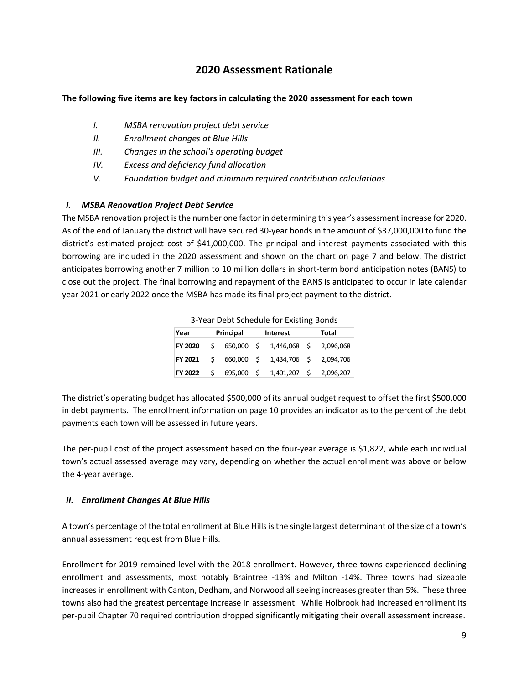## **2020 Assessment Rationale**

#### **The following five items are key factors in calculating the 2020 assessment for each town**

- *I. MSBA renovation project debt service*
- *II. Enrollment changes at Blue Hills*
- *III. Changes in the school's operating budget*
- *IV. Excess and deficiency fund allocation*
- *V. Foundation budget and minimum required contribution calculations*

#### *I. MSBA Renovation Project Debt Service*

The MSBA renovation project is the number one factor in determining this year's assessment increase for 2020. As of the end of January the district will have secured 30‐year bonds in the amount of \$37,000,000 to fund the district's estimated project cost of \$41,000,000. The principal and interest payments associated with this borrowing are included in the 2020 assessment and shown on the chart on page 7 and below. The district anticipates borrowing another 7 million to 10 million dollars in short-term bond anticipation notes (BANS) to close out the project. The final borrowing and repayment of the BANS is anticipated to occur in late calendar year 2021 or early 2022 once the MSBA has made its final project payment to the district.

| <b>3 Tear Debt Scriedale Tor Existing Dorlas</b> |           |         |     |                 |    |           |       |  |  |  |
|--------------------------------------------------|-----------|---------|-----|-----------------|----|-----------|-------|--|--|--|
| Year                                             | Principal |         |     | <b>Interest</b> |    |           | Total |  |  |  |
| <b>FY 2020</b>                                   | Ś         | 650,000 | ۱Ś  | $1,446,068$ \$  |    | 2,096,068 |       |  |  |  |
| <b>FY 2021</b>                                   | Ś         | 660,000 | ۱Ś. | $1,434,706$ \$  |    | 2,094,706 |       |  |  |  |
| <b>FY 2022</b>                                   | Ś         | 695,000 | -Ś  | 1,401,207       | -Ś | 2,096,207 |       |  |  |  |

3‐Year Debt Schedule for Existing Bonds

The district's operating budget has allocated \$500,000 of its annual budget request to offset the first \$500,000 in debt payments. The enrollment information on page 10 provides an indicator as to the percent of the debt payments each town will be assessed in future years.

The per-pupil cost of the project assessment based on the four-year average is \$1,822, while each individual town's actual assessed average may vary, depending on whether the actual enrollment was above or below the 4‐year average.

#### *II. Enrollment Changes At Blue Hills*

A town's percentage of the total enrollment at Blue Hills is the single largest determinant of the size of a town's annual assessment request from Blue Hills.

Enrollment for 2019 remained level with the 2018 enrollment. However, three towns experienced declining enrollment and assessments, most notably Braintree ‐13% and Milton ‐14%. Three towns had sizeable increases in enrollment with Canton, Dedham, and Norwood all seeing increases greater than 5%. These three towns also had the greatest percentage increase in assessment. While Holbrook had increased enrollment its per‐pupil Chapter 70 required contribution dropped significantly mitigating their overall assessment increase.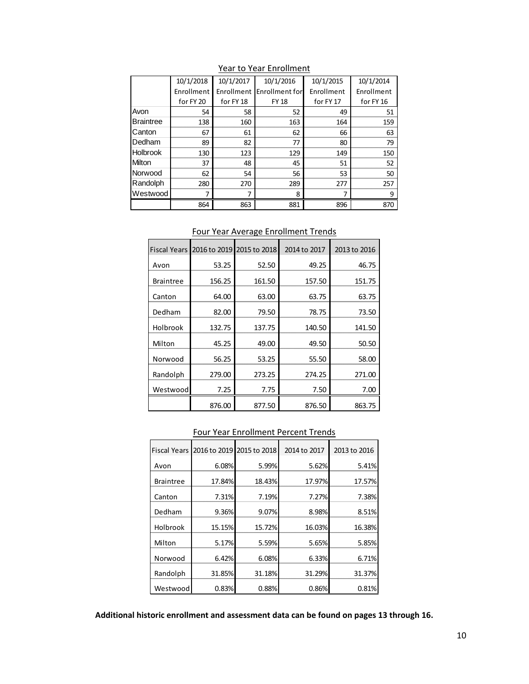|                  | 10/1/2018  | 10/1/2017  | 10/1/2016      | 10/1/2015  | 10/1/2014  |
|------------------|------------|------------|----------------|------------|------------|
|                  | Enrollment | Enrollment | Enrollment for | Enrollment | Enrollment |
|                  | for FY 20  | for FY 18  | <b>FY 18</b>   | for FY 17  | for FY 16  |
| Avon             | 54         | 58         | 52             | 49         | 51         |
| <b>Braintree</b> | 138        | 160        | 163            | 164        | 159        |
| Canton           | 67         | 61         | 62             | 66         | 63         |
| Dedham           | 89         | 82         | 77             | 80         | 79         |
| <b>Holbrook</b>  | 130        | 123        | 129            | 149        | 150        |
| Milton           | 37         | 48         | 45             | 51         | 52         |
| Norwood          | 62         | 54         | 56             | 53         | 50         |
| Randolph         | 280        | 270        | 289            | 277        | 257        |
| Westwood         |            |            | 8              | 7          | 9          |
|                  | 864        | 863        | 881            | 896        | 870        |

Year to Year Enrollment

| <b>Fiscal Years</b> |        | 2016 to 2019 2015 to 2018 | 2014 to 2017 | 2013 to 2016 |
|---------------------|--------|---------------------------|--------------|--------------|
| Avon                | 53.25  | 52.50                     | 49.25        | 46.75        |
| <b>Braintree</b>    | 156.25 | 161.50                    | 157.50       | 151.75       |
| Canton              | 64.00  | 63.00                     | 63.75        | 63.75        |
| Dedham              | 82.00  | 79.50                     | 78.75        | 73.50        |
| Holbrook            | 132.75 | 137.75                    | 140.50       | 141.50       |
| Milton              | 45.25  | 49.00                     | 49.50        | 50.50        |
| Norwood             | 56.25  | 53.25                     | 55.50        | 58.00        |
| Randolph            | 279.00 | 273.25                    | 274.25       | 271.00       |
| Westwood            | 7.25   | 7.75                      | 7.50         | 7.00         |
|                     | 876.00 | 877.50                    | 876.50       | 863.75       |

Four Year Average Enrollment Trends

#### Four Year Enrollment Percent Trends

| <b>Fiscal Years</b> |        | 2016 to 2019 2015 to 2018 | 2014 to 2017 | 2013 to 2016 |
|---------------------|--------|---------------------------|--------------|--------------|
| Avon                | 6.08%  | 5.99%                     | 5.62%        | 5.41%        |
| <b>Braintree</b>    | 17.84% | 18.43%                    | 17.97%       | 17.57%       |
| Canton              | 7.31%  | 7.19%                     | 7.27%        | 7.38%        |
| Dedham              | 9.36%  | 9.07%                     | 8.98%        | 8.51%        |
| Holbrook            | 15.15% | 15.72%                    | 16.03%       | 16.38%       |
| Milton              | 5.17%  | 5.59%                     | 5.65%        | 5.85%        |
| Norwood             | 6.42%  | 6.08%                     | 6.33%        | 6.71%        |
| Randolph            | 31.85% | 31.18%                    | 31.29%       | 31.37%       |
| Westwood            | 0.83%  | 0.88%                     | 0.86%        | 0.81%        |

**Additional historic enrollment and assessment data can be found on pages 13 through 16.**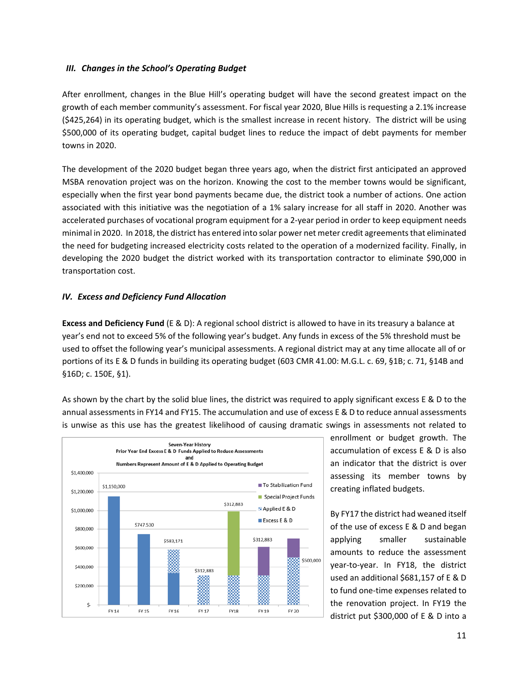#### *III. Changes in the School's Operating Budget*

After enrollment, changes in the Blue Hill's operating budget will have the second greatest impact on the growth of each member community's assessment. For fiscal year 2020, Blue Hills is requesting a 2.1% increase (\$425,264) in its operating budget, which is the smallest increase in recent history. The district will be using \$500,000 of its operating budget, capital budget lines to reduce the impact of debt payments for member towns in 2020.

The development of the 2020 budget began three years ago, when the district first anticipated an approved MSBA renovation project was on the horizon. Knowing the cost to the member towns would be significant, especially when the first year bond payments became due, the district took a number of actions. One action associated with this initiative was the negotiation of a 1% salary increase for all staff in 2020. Another was accelerated purchases of vocational program equipment for a 2‐year period in order to keep equipment needs minimal in 2020. In 2018, the district has entered into solar power net meter credit agreementsthat eliminated the need for budgeting increased electricity costs related to the operation of a modernized facility. Finally, in developing the 2020 budget the district worked with its transportation contractor to eliminate \$90,000 in transportation cost.

### *IV. Excess and Deficiency Fund Allocation*

**Excess and Deficiency Fund** (E & D): A regional school district is allowed to have in its treasury a balance at year's end not to exceed 5% of the following year's budget. Any funds in excess of the 5% threshold must be used to offset the following year's municipal assessments. A regional district may at any time allocate all of or portions of its E & D funds in building its operating budget (603 CMR 41.00: M.G.L. c. 69, §1B; c. 71, §14B and §16D; c. 150E, §1).

As shown by the chart by the solid blue lines, the district was required to apply significant excess E & D to the annual assessments in FY14 and FY15. The accumulation and use of excess E & D to reduce annual assessments is unwise as this use has the greatest likelihood of causing dramatic swings in assessments not related to



enrollment or budget growth. The accumulation of excess E & D is also an indicator that the district is over assessing its member towns by creating inflated budgets.

By FY17 the district had weaned itself of the use of excess E & D and began applying smaller sustainable amounts to reduce the assessment year-to-year. In FY18, the district used an additional \$681,157 of E & D to fund one‐time expenses related to the renovation project. In FY19 the district put \$300,000 of E & D into a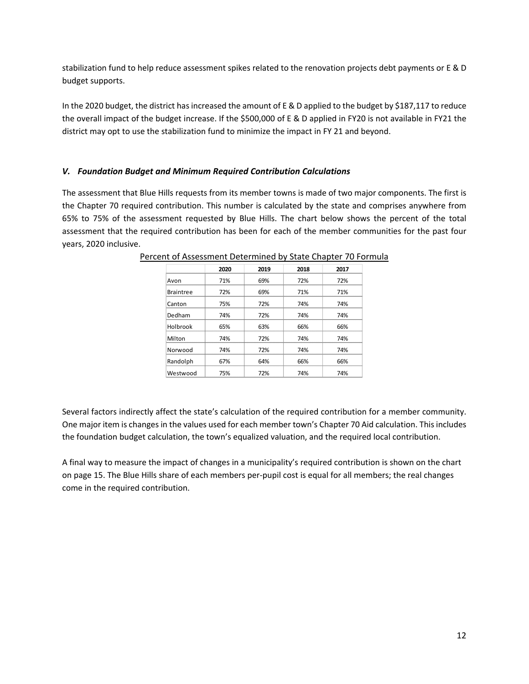stabilization fund to help reduce assessment spikes related to the renovation projects debt payments or E & D budget supports.

In the 2020 budget, the district has increased the amount of E & D applied to the budget by \$187,117 to reduce the overall impact of the budget increase. If the \$500,000 of E & D applied in FY20 is not available in FY21 the district may opt to use the stabilization fund to minimize the impact in FY 21 and beyond.

#### *V. Foundation Budget and Minimum Required Contribution Calculations*

The assessment that Blue Hills requests from its member towns is made of two major components. The first is the Chapter 70 required contribution. This number is calculated by the state and comprises anywhere from 65% to 75% of the assessment requested by Blue Hills. The chart below shows the percent of the total assessment that the required contribution has been for each of the member communities for the past four years, 2020 inclusive.

|                  | 2020 | 2019 | 2018 | 2017 |
|------------------|------|------|------|------|
| Avon             | 71%  | 69%  | 72%  | 72%  |
| <b>Braintree</b> | 72%  | 69%  | 71%  | 71%  |
| Canton           | 75%  | 72%  | 74%  | 74%  |
| Dedham           | 74%  | 72%  | 74%  | 74%  |
| Holbrook         | 65%  | 63%  | 66%  | 66%  |
| Milton           | 74%  | 72%  | 74%  | 74%  |
| Norwood          | 74%  | 72%  | 74%  | 74%  |
| Randolph         | 67%  | 64%  | 66%  | 66%  |
| Westwood         | 75%  | 72%  | 74%  | 74%  |

Percent of Assessment Determined by State Chapter 70 Formula

Several factors indirectly affect the state's calculation of the required contribution for a member community. One major item is changes in the values used for each member town's Chapter 70 Aid calculation. This includes the foundation budget calculation, the town's equalized valuation, and the required local contribution.

A final way to measure the impact of changes in a municipality's required contribution is shown on the chart on page 15. The Blue Hills share of each members per‐pupil cost is equal for all members; the real changes come in the required contribution.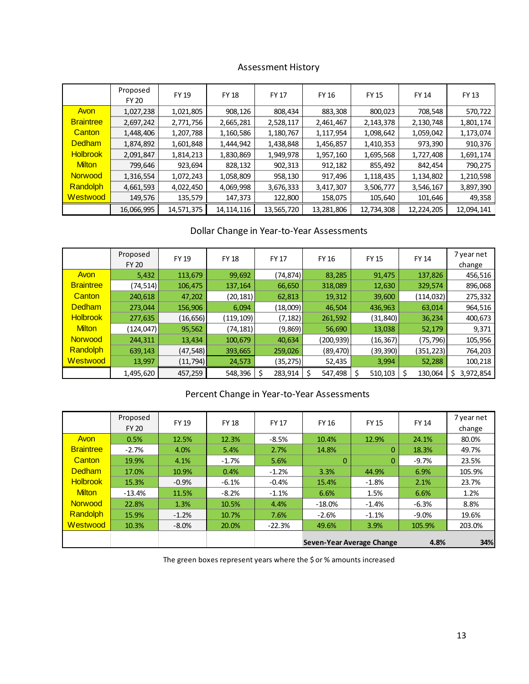## Assessment History

|                  | Proposed<br>FY 20 | <b>FY 19</b> | <b>FY 18</b> | <b>FY 17</b> | <b>FY 16</b> | <b>FY 15</b> | <b>FY 14</b> | <b>FY 13</b> |
|------------------|-------------------|--------------|--------------|--------------|--------------|--------------|--------------|--------------|
| Avon             | 1,027,238         | 1,021,805    | 908,126      | 808,434      | 883,308      | 800,023      | 708,548      | 570,722      |
| <b>Braintree</b> | 2,697,242         | 2,771,756    | 2,665,281    | 2,528,117    | 2,461,467    | 2,143,378    | 2,130,748    | 1,801,174    |
| Canton           | 1,448,406         | 1,207,788    | 1,160,586    | 1,180,767    | 1,117,954    | 1,098,642    | 1,059,042    | 1,173,074    |
| <b>Dedham</b>    | 1,874,892         | 1,601,848    | 1,444,942    | 1,438,848    | 1,456,857    | 1,410,353    | 973,390      | 910,376      |
| <b>Holbrook</b>  | 2,091,847         | 1,814,213    | 1,830,869    | 1,949,978    | 1,957,160    | 1,695,568    | 1,727,408    | 1,691,174    |
| <b>Milton</b>    | 799,646           | 923,694      | 828,132      | 902,313      | 912,182      | 855,492      | 842,454      | 790,275      |
| <b>Norwood</b>   | 1,316,554         | 1,072,243    | 1,058,809    | 958,130      | 917,496      | 1,118,435    | 1,134,802    | 1,210,598    |
| Randolph         | 4,661,593         | 4,022,450    | 4,069,998    | 3,676,333    | 3,417,307    | 3,506,777    | 3,546,167    | 3,897,390    |
| Westwood         | 149,576           | 135,579      | 147,373      | 122,800      | 158,075      | 105,640      | 101,646      | 49,358       |
|                  | 16,066,995        | 14,571,375   | 14, 114, 116 | 13,565,720   | 13,281,806   | 12,734,308   | 12,224,205   | 12,094,141   |

## Dollar Change in Year‐to‐Year Assessments

|                  | Proposed<br><b>FY 20</b> | <b>FY 19</b> | <b>FY 18</b> | <b>FY 17</b>  | <b>FY 16</b> | <b>FY 15</b> | <b>FY 14</b> | 7 year net<br>change |  |
|------------------|--------------------------|--------------|--------------|---------------|--------------|--------------|--------------|----------------------|--|
| Avon             | 5,432                    | 113,679      | 99,692       | (74, 874)     | 83,285       | 91,475       | 137,826      | 456,516              |  |
| <b>Braintree</b> | (74,514)                 | 106,475      | 137,164      | 66,650        | 318,089      | 12,630       | 329,574      | 896,068              |  |
| Canton           | 240,618                  | 47,202       | (20, 181)    | 62,813        | 19,312       | 39,600       | (114, 032)   | 275,332              |  |
| <b>Dedham</b>    | 273.044                  | 156,906      | 6.094        | (18,009)      | 46,504       | 436,963      | 63,014       | 964,516              |  |
| <b>Holbrook</b>  | 277,635                  | (16, 656)    | (119, 109)   | (7, 182)      | 261,592      | (31, 840)    | 36,234       | 400,673              |  |
| <b>Milton</b>    | (124, 047)               | 95,562       | (74,181)     | (9,869)       | 56,690       | 13,038       | 52,179       | 9,371                |  |
| <b>Norwood</b>   | 244,311                  | 13,434       | 100,679      | 40,634        | (200,939)    | (16, 367)    | (75, 796)    | 105,956              |  |
| Randolph         | 639,143                  | (47, 548)    | 393,665      | 259,026       | (89, 470)    | (39, 390)    | (351,223)    | 764,203              |  |
| Westwood         | 13,997                   | (11, 794)    | 24,573       | (35, 275)     | 52,435       | 3,994        | 52,288       | 100,218              |  |
|                  | 1,495,620                | 457,259      | 548,396      | \$<br>283,914 | 547,498      | 510,103      | Ś<br>130,064 | 3,972,854<br>S       |  |

### Percent Change in Year‐to‐Year Assessments

|                  | Proposed<br><b>FY 20</b> | FY 19   | <b>FY 18</b> | FY 17    | FY 16                            | <b>FY 15</b> | <b>FY 14</b> | 7 year net<br>change |
|------------------|--------------------------|---------|--------------|----------|----------------------------------|--------------|--------------|----------------------|
| Avon             | 0.5%                     | 12.5%   | 12.3%        | $-8.5%$  | 10.4%                            | 12.9%        | 24.1%        | 80.0%                |
| <b>Braintree</b> | $-2.7%$                  | 4.0%    | 5.4%         | 2.7%     | 14.8%                            | $\mathbf{0}$ | 18.3%        | 49.7%                |
| Canton           | 19.9%                    | 4.1%    | $-1.7%$      | 5.6%     | $\Omega$                         | 0            | $-9.7%$      | 23.5%                |
| <b>Dedham</b>    | 17.0%                    | 10.9%   | 0.4%         | $-1.2%$  | 3.3%                             | 44.9%        | 6.9%         | 105.9%               |
| <b>Holbrook</b>  | 15.3%                    | $-0.9%$ | $-6.1%$      | $-0.4%$  | 15.4%                            | $-1.8%$      | 2.1%         | 23.7%                |
| <b>Milton</b>    | $-13.4%$                 | 11.5%   | $-8.2%$      | $-1.1%$  | 6.6%                             | 1.5%         | 6.6%         | 1.2%                 |
| <b>Norwood</b>   | 22.8%                    | 1.3%    | 10.5%        | 4.4%     | $-18.0\%$                        | $-1.4%$      | $-6.3%$      | 8.8%                 |
| <b>Randolph</b>  | 15.9%                    | $-1.2%$ | 10.7%        | 7.6%     | $-2.6%$                          | $-1.1%$      | $-9.0%$      | 19.6%                |
| Westwood         | 10.3%                    | $-8.0%$ | 20.0%        | $-22.3%$ | 49.6%                            | 3.9%         | 105.9%       | 203.0%               |
|                  |                          |         |              |          | <b>Seven-Year Average Change</b> |              | 4.8%         | 34%                  |

The green boxes represent years where the \$ or % amounts increased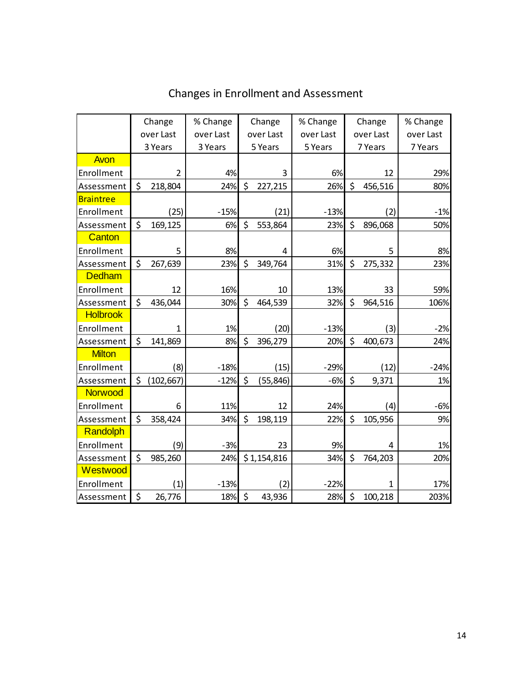|                  | Change |                | % Change  |         | Change      | % Change  | Change |              | % Change  |  |
|------------------|--------|----------------|-----------|---------|-------------|-----------|--------|--------------|-----------|--|
|                  |        | over Last      | over Last |         | over Last   | over Last |        | over Last    | over Last |  |
|                  |        | 3 Years        | 3 Years   |         | 5 Years     | 5 Years   |        | 7 Years      | 7 Years   |  |
| Avon             |        |                |           |         |             |           |        |              |           |  |
| Enrollment       |        | $\overline{2}$ | 4%        |         | 3           | 6%        |        | 12           | 29%       |  |
| Assessment       | \$     | 218,804        | 24%       | \$      | 227,215     | 26%       | \$     | 456,516      | 80%       |  |
| <b>Braintree</b> |        |                |           |         |             |           |        |              |           |  |
| Enrollment       |        | (25)           | $-15%$    |         | (21)        | $-13%$    |        | (2)          | $-1%$     |  |
| Assessment       | \$     | 169,125        | 6%        | \$      | 553,864     | 23%       | \$     | 896,068      | 50%       |  |
| Canton           |        |                |           |         |             |           |        |              |           |  |
| Enrollment       |        | 5              | 8%        |         | 4           | 6%        |        | 5            | 8%        |  |
| Assessment       | \$     | 267,639        | 23%       | $\zeta$ | 349,764     | 31%       | \$     | 275,332      | 23%       |  |
| <b>Dedham</b>    |        |                |           |         |             |           |        |              |           |  |
| Enrollment       |        | 12             | 16%       |         | 10          | 13%       |        | 33           | 59%       |  |
| Assessment       | \$     | 436,044        | 30%       | \$      | 464,539     | 32%       | \$     | 964,516      | 106%      |  |
| <b>Holbrook</b>  |        |                |           |         |             |           |        |              |           |  |
| Enrollment       |        | 1              | 1%        |         | (20)        | $-13%$    |        | (3)          | $-2%$     |  |
| Assessment       | \$     | 141,869        | 8%        | \$      | 396,279     | 20%       | \$     | 400,673      | 24%       |  |
| <b>Milton</b>    |        |                |           |         |             |           |        |              |           |  |
| Enrollment       |        | (8)            | $-18%$    |         | (15)        | $-29%$    |        | (12)         | $-24%$    |  |
| Assessment       | \$     | (102, 667)     | $-12%$    | \$      | (55, 846)   | $-6%$     | \$     | 9,371        | 1%        |  |
| <b>Norwood</b>   |        |                |           |         |             |           |        |              |           |  |
| Enrollment       |        | 6              | 11%       |         | 12          | 24%       |        | (4)          | $-6%$     |  |
| Assessment       | \$     | 358,424        | 34%       | \$      | 198,119     | 22%       | \$     | 105,956      | 9%        |  |
| Randolph         |        |                |           |         |             |           |        |              |           |  |
| Enrollment       |        | (9)            | $-3%$     |         | 23          | 9%        |        | 4            | 1%        |  |
| Assessment       | \$     | 985,260        | 24%       |         | \$1,154,816 | 34%       | \$     | 764,203      | 20%       |  |
| Westwood         |        |                |           |         |             |           |        |              |           |  |
| Enrollment       |        | (1)            | $-13%$    |         | (2)         | $-22%$    |        | $\mathbf{1}$ | 17%       |  |
| Assessment       | \$     | 26,776         | 18%       | \$      | 43,936      | 28%       | \$     | 100,218      | 203%      |  |

# Changes in Enrollment and Assessment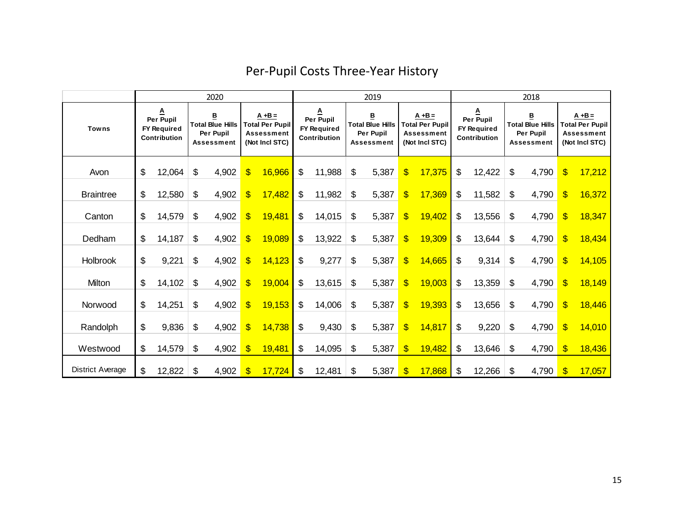|                  | 2020                                                               |        |    |                                                                       |                           |                                                                            | 2019                                                        |        |                                                                |       |                         |                                                                     |    | 2018                                                 |    |                                                                |                           |                                                                     |  |
|------------------|--------------------------------------------------------------------|--------|----|-----------------------------------------------------------------------|---------------------------|----------------------------------------------------------------------------|-------------------------------------------------------------|--------|----------------------------------------------------------------|-------|-------------------------|---------------------------------------------------------------------|----|------------------------------------------------------|----|----------------------------------------------------------------|---------------------------|---------------------------------------------------------------------|--|
| <b>Towns</b>     | <u>A</u><br>Per Pupil<br><b>FY Required</b><br><b>Contribution</b> |        |    | В<br><b>Total Blue Hills</b><br><b>Per Pupil</b><br><b>Assessment</b> |                           | $A + B =$<br><b>Total Per Pupil</b><br><b>Assessment</b><br>(Not Incl STC) | <u>A</u><br>Per Pupil<br>FY Required<br><b>Contribution</b> |        | B<br><b>Total Blue Hills</b><br>Per Pupil<br><b>Assessment</b> |       |                         | $A + B =$<br><b>Total Per Pupil</b><br>Assessment<br>(Not Incl STC) |    | <u>A</u><br>Per Pupil<br>FY Required<br>Contribution |    | в<br><b>Total Blue Hills</b><br>Per Pupil<br><b>Assessment</b> |                           | $A + B =$<br><b>Total Per Pupil</b><br>Assessment<br>(Not Incl STC) |  |
| Avon             | \$                                                                 | 12,064 | \$ | 4,902                                                                 | $\boldsymbol{\$}$         | 16,966                                                                     | \$                                                          | 11,988 | \$                                                             | 5,387 | \$                      | 17,375                                                              | \$ | 12,422                                               | \$ | 4,790                                                          | $\boldsymbol{\mathsf{s}}$ | 17,212                                                              |  |
| <b>Braintree</b> | \$                                                                 | 12,580 | \$ | 4,902                                                                 | $\overline{\mathbf{S}}$   | 17,482                                                                     | \$                                                          | 11,982 | \$                                                             | 5,387 | $\overline{\mathbb{S}}$ | 17,369                                                              | \$ | 11,582                                               | \$ | 4,790                                                          | $\mathbf{\$}$             | 16,372                                                              |  |
| Canton           | \$                                                                 | 14,579 | \$ | 4,902                                                                 | $\overline{\mathbf{S}}$   | 19,481                                                                     | \$                                                          | 14,015 | \$                                                             | 5,387 | $\overline{\mathbb{S}}$ | 19,402                                                              | \$ | 13,556                                               | \$ | 4,790                                                          | $\mathbf{\$}$             | 18,347                                                              |  |
| Dedham           | \$                                                                 | 14,187 | \$ | 4,902                                                                 | $\overline{\mathbf{S}}$   | 19,089                                                                     | \$                                                          | 13,922 | \$                                                             | 5,387 | \$                      | 19,309                                                              | \$ | 13,644                                               | \$ | 4,790                                                          | $\overline{\mathbf{S}}$   | 18,434                                                              |  |
| Holbrook         | \$                                                                 | 9,221  | \$ | 4,902                                                                 | $\overline{\mathbb{S}}$   | 14,123                                                                     | \$                                                          | 9,277  | \$                                                             | 5,387 | $\overline{\mathbb{S}}$ | 14,665                                                              | \$ | 9,314                                                | \$ | 4,790                                                          | $\boldsymbol{\mathsf{S}}$ | 14,105                                                              |  |
| Milton           | \$                                                                 | 14,102 | \$ | 4,902                                                                 | \$                        | 19,004                                                                     | \$                                                          | 13,615 | \$                                                             | 5,387 | \$                      | 19,003                                                              | \$ | 13,359                                               | \$ | 4,790                                                          | $\mathbf{\$}$             | 18,149                                                              |  |
| Norwood          | \$<br>14,251                                                       |        | \$ | 4,902                                                                 | \$                        | 19,153                                                                     | \$                                                          | 14,006 | \$                                                             | 5,387 | $\overline{\mathbf{S}}$ | 19,393                                                              | \$ | 13,656                                               | \$ | 4,790                                                          | $\mathbf{\$}$             | 18,446                                                              |  |
| Randolph         | \$                                                                 | 9,836  | \$ | 4,902                                                                 | $\overline{\mathbb{S}}$   | 14,738                                                                     | \$                                                          | 9,430  | \$                                                             | 5,387 | $\mathbf{S}$            | 14,817                                                              | \$ | 9,220                                                | \$ | 4,790                                                          | $\mathbf{\$}$             | 14,010                                                              |  |
| Westwood         | \$                                                                 | 14,579 | \$ | 4,902                                                                 | $\boldsymbol{\$}$         | 19,481                                                                     | \$                                                          | 14,095 | \$                                                             | 5,387 |                         | 19,482                                                              | \$ | 13,646                                               | \$ | 4,790                                                          | $\sqrt[6]{3}$             | 18,436                                                              |  |
| District Average | \$                                                                 | 12,822 | \$ | 4,902                                                                 | $\boldsymbol{\mathsf{S}}$ | 17,724                                                                     | \$                                                          | 12,481 | \$                                                             | 5,387 | \$                      | 17,868                                                              | \$ | 12,266                                               | \$ | 4,790                                                          | \$                        | 17,057                                                              |  |

# Per‐Pupil Costs Three‐Year History